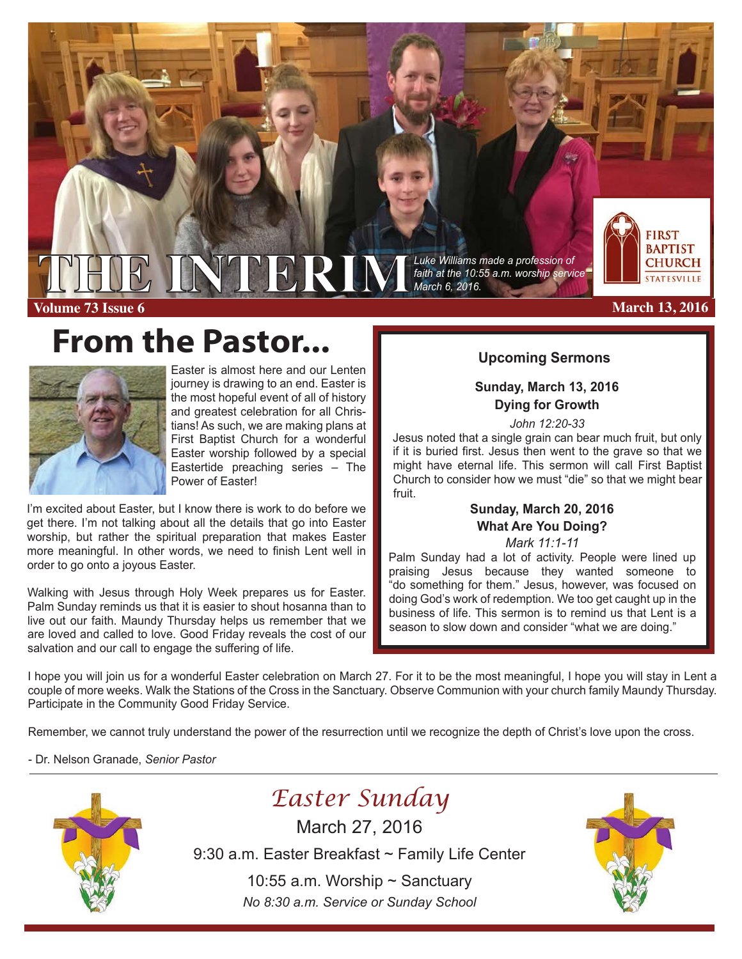

**Volume 73 Issue 6**

# **From the Pastor... Proming Sermons**



Easter is almost here and our Lenten journey is drawing to an end. Easter is the most hopeful event of all of history and greatest celebration for all Christians! As such, we are making plans at First Baptist Church for a wonderful Easter worship followed by a special Eastertide preaching series – The Power of Easter!

I'm excited about Easter, but I know there is work to do before we get there. I'm not talking about all the details that go into Easter worship, but rather the spiritual preparation that makes Easter more meaningful. In other words, we need to finish Lent well in order to go onto a joyous Easter.

Walking with Jesus through Holy Week prepares us for Easter. Palm Sunday reminds us that it is easier to shout hosanna than to live out our faith. Maundy Thursday helps us remember that we are loved and called to love. Good Friday reveals the cost of our salvation and our call to engage the suffering of life.

*faith at the 10:55 a.m. worship service*



#### **March 13, 2016**

### **Sunday, March 13, 2016 Dying for Growth**

*John 12:20-33*

Jesus noted that a single grain can bear much fruit, but only if it is buried first. Jesus then went to the grave so that we might have eternal life. This sermon will call First Baptist Church to consider how we must "die" so that we might bear fruit.

### **Sunday, March 20, 2016 What Are You Doing?**

*Mark 11:1-11*

Palm Sunday had a lot of activity. People were lined up praising Jesus because they wanted someone to "do something for them." Jesus, however, was focused on doing God's work of redemption. We too get caught up in the business of life. This sermon is to remind us that Lent is a season to slow down and consider "what we are doing."

I hope you will join us for a wonderful Easter celebration on March 27. For it to be the most meaningful, I hope you will stay in Lent a couple of more weeks. Walk the Stations of the Cross in the Sanctuary. Observe Communion with your church family Maundy Thursday. Participate in the Community Good Friday Service.

Remember, we cannot truly understand the power of the resurrection until we recognize the depth of Christ's love upon the cross.

- Dr. Nelson Granade, *Senior Pastor*



# *Easter Sunday*

March 27, 2016

9:30 a.m. Easter Breakfast ~ Family Life Center

10:55 a.m. Worship ~ Sanctuary *No 8:30 a.m. Service or Sunday School*

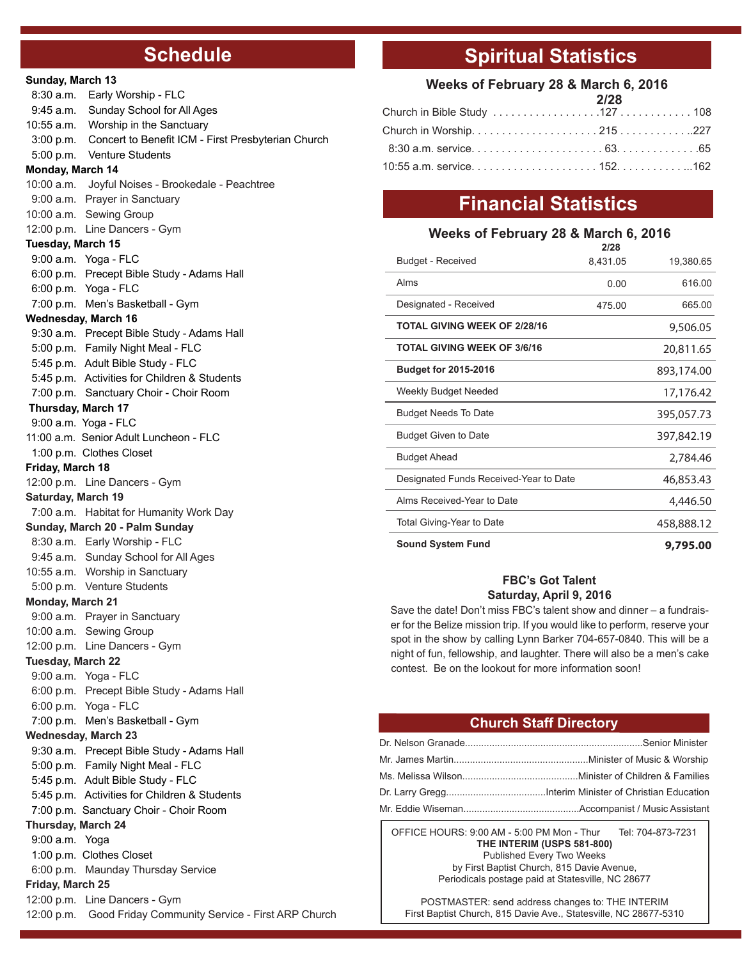### **Schedule**

| Sunday, March 13                            |                                                                          |  |  |
|---------------------------------------------|--------------------------------------------------------------------------|--|--|
| 8:30 a.m.                                   | Early Worship - FLC                                                      |  |  |
|                                             | 9:45 a.m. Sunday School for All Ages                                     |  |  |
|                                             | 10:55 a.m. Worship in the Sanctuary                                      |  |  |
|                                             | 3:00 p.m. Concert to Benefit ICM - First Presbyterian Church             |  |  |
|                                             | 5:00 p.m. Venture Students                                               |  |  |
| Monday, March 14                            |                                                                          |  |  |
|                                             | 10:00 a.m. Joyful Noises - Brookedale - Peachtree                        |  |  |
|                                             | 9:00 a.m. Prayer in Sanctuary                                            |  |  |
|                                             | 10:00 a.m. Sewing Group                                                  |  |  |
|                                             | 12:00 p.m. Line Dancers - Gym                                            |  |  |
| <b>Tuesday, March 15</b>                    |                                                                          |  |  |
|                                             | 9:00 a.m. Yoga - FLC                                                     |  |  |
|                                             | 6:00 p.m. Precept Bible Study - Adams Hall                               |  |  |
|                                             | 6:00 p.m. Yoga - FLC                                                     |  |  |
|                                             | 7:00 p.m. Men's Basketball - Gym                                         |  |  |
|                                             | Wednesday, March 16                                                      |  |  |
|                                             | 9:30 a.m. Precept Bible Study - Adams Hall                               |  |  |
|                                             | 5:00 p.m. Family Night Meal - FLC                                        |  |  |
|                                             | 5:45 p.m. Adult Bible Study - FLC                                        |  |  |
|                                             | 5:45 p.m. Activities for Children & Students                             |  |  |
|                                             | 7:00 p.m. Sanctuary Choir - Choir Room                                   |  |  |
|                                             | Thursday, March 17                                                       |  |  |
|                                             | 9:00 a.m. Yoga - FLC                                                     |  |  |
|                                             | 11:00 a.m. Senior Adult Luncheon - FLC                                   |  |  |
|                                             | 1:00 p.m. Clothes Closet                                                 |  |  |
| Friday, March 18                            |                                                                          |  |  |
|                                             | 12:00 p.m. Line Dancers - Gym                                            |  |  |
| <b>Saturday, March 19</b>                   |                                                                          |  |  |
|                                             | 7:00 a.m. Habitat for Humanity Work Day                                  |  |  |
|                                             | Sunday, March 20 - Palm Sunday                                           |  |  |
|                                             | 8:30 a.m. Early Worship - FLC                                            |  |  |
|                                             | 9:45 a.m. Sunday School for All Ages                                     |  |  |
|                                             | 10:55 a.m. Worship in Sanctuary                                          |  |  |
|                                             | 5:00 p.m. Venture Students                                               |  |  |
| Monday, March 21                            |                                                                          |  |  |
|                                             | 9:00 a.m. Prayer in Sanctuary                                            |  |  |
|                                             | 10:00 a.m. Sewing Group                                                  |  |  |
|                                             | 12:00 p.m. Line Dancers - Gym                                            |  |  |
| <b>Tuesday, March 22</b>                    |                                                                          |  |  |
|                                             | 9:00 a.m. Yoga - FLC                                                     |  |  |
|                                             | 6:00 p.m. Precept Bible Study - Adams Hall                               |  |  |
|                                             | 6:00 p.m. Yoga - FLC                                                     |  |  |
|                                             | 7:00 p.m. Men's Basketball - Gym                                         |  |  |
|                                             | <b>Wednesday, March 23</b><br>9:30 a.m. Precept Bible Study - Adams Hall |  |  |
|                                             | 5:00 p.m. Family Night Meal - FLC                                        |  |  |
|                                             | 5:45 p.m. Adult Bible Study - FLC                                        |  |  |
|                                             | 5:45 p.m. Activities for Children & Students                             |  |  |
|                                             | 7:00 p.m. Sanctuary Choir - Choir Room                                   |  |  |
|                                             |                                                                          |  |  |
| <b>Thursday, March 24</b><br>9:00 a.m. Yoga |                                                                          |  |  |
|                                             | 1:00 p.m. Clothes Closet                                                 |  |  |
|                                             | 6:00 p.m. Maunday Thursday Service                                       |  |  |
| Friday, March 25                            |                                                                          |  |  |
|                                             | 12:00 p.m. Line Dancers - Gym                                            |  |  |
|                                             | 12:00 p.m. Good Friday Community Service - First ARP Church              |  |  |
|                                             |                                                                          |  |  |

# **Spiritual Statistics**

#### **Weeks of February 28 & March 6, 2016**

| 2/28 |  |
|------|--|
|      |  |
|      |  |
|      |  |
|      |  |

## **Financial Statistics**

#### **Weeks of February 28 & March 6, 2016**

|                                        | 2/28     |            |
|----------------------------------------|----------|------------|
| <b>Budget - Received</b>               | 8,431.05 | 19,380.65  |
| Alms                                   | 0.00     | 616.00     |
| Designated - Received                  | 475.00   | 665.00     |
| <b>TOTAL GIVING WEEK OF 2/28/16</b>    |          | 9,506.05   |
| <b>TOTAL GIVING WEEK OF 3/6/16</b>     |          | 20,811.65  |
| <b>Budget for 2015-2016</b>            |          | 893,174.00 |
| Weekly Budget Needed                   |          | 17,176.42  |
| <b>Budget Needs To Date</b>            |          | 395,057.73 |
| <b>Budget Given to Date</b>            |          | 397,842.19 |
| <b>Budget Ahead</b>                    |          | 2,784.46   |
| Designated Funds Received-Year to Date |          | 46,853.43  |
| Alms Received-Year to Date             |          | 4,446.50   |
| Total Giving-Year to Date              |          | 458,888.12 |
| <b>Sound System Fund</b>               |          | 9,795.00   |

#### **FBC's Got Talent Saturday, April 9, 2016**

Save the date! Don't miss FBC's talent show and dinner – a fundraiser for the Belize mission trip. If you would like to perform, reserve your spot in the show by calling Lynn Barker 704-657-0840. This will be a night of fun, fellowship, and laughter. There will also be a men's cake contest. Be on the lookout for more information soon!

#### **Church Staff Directory**

OFFICE HOURS: 9:00 AM - 5:00 PM Mon - Thur Tel: 704-873-7231 **THE INTERIM (USPS 581-800)** Published Every Two Weeks by First Baptist Church, 815 Davie Avenue, Periodicals postage paid at Statesville, NC 28677

POSTMASTER: send address changes to: THE INTERIM First Baptist Church, 815 Davie Ave., Statesville, NC 28677-5310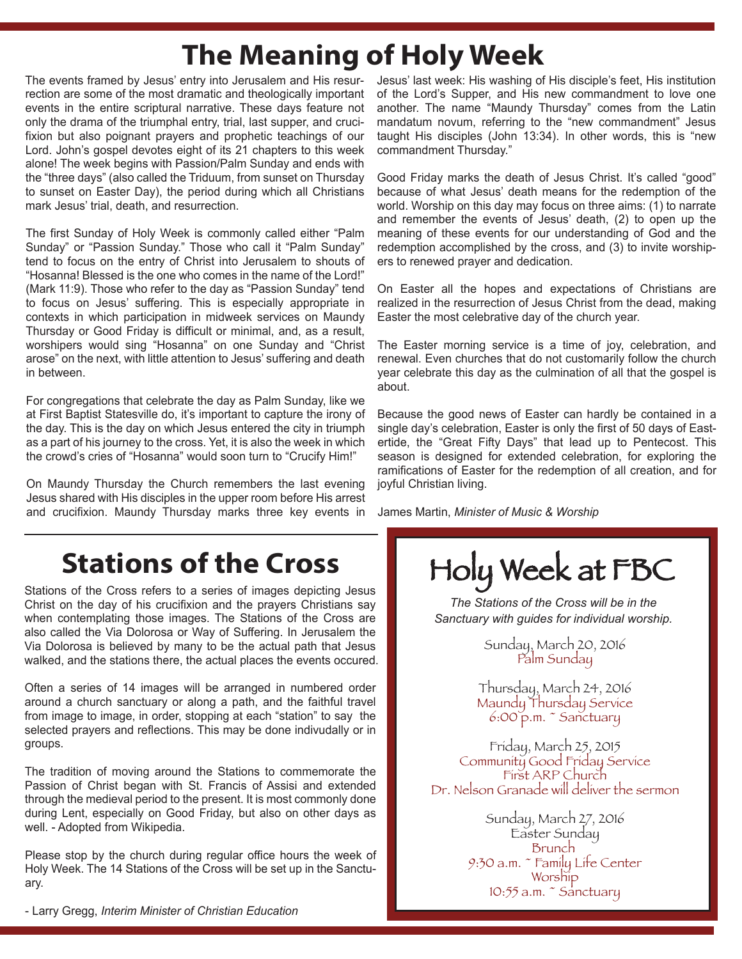# **The Meaning of Holy Week**

The events framed by Jesus' entry into Jerusalem and His resurrection are some of the most dramatic and theologically important events in the entire scriptural narrative. These days feature not only the drama of the triumphal entry, trial, last supper, and crucifixion but also poignant prayers and prophetic teachings of our Lord. John's gospel devotes eight of its 21 chapters to this week alone! The week begins with Passion/Palm Sunday and ends with the "three days" (also called the Triduum, from sunset on Thursday to sunset on Easter Day), the period during which all Christians mark Jesus' trial, death, and resurrection.

The first Sunday of Holy Week is commonly called either "Palm Sunday" or "Passion Sunday." Those who call it "Palm Sunday" tend to focus on the entry of Christ into Jerusalem to shouts of "Hosanna! Blessed is the one who comes in the name of the Lord!" (Mark 11:9). Those who refer to the day as "Passion Sunday" tend to focus on Jesus' suffering. This is especially appropriate in contexts in which participation in midweek services on Maundy Thursday or Good Friday is difficult or minimal, and, as a result, worshipers would sing "Hosanna" on one Sunday and "Christ arose" on the next, with little attention to Jesus' suffering and death in between.

For congregations that celebrate the day as Palm Sunday, like we at First Baptist Statesville do, it's important to capture the irony of the day. This is the day on which Jesus entered the city in triumph as a part of his journey to the cross. Yet, it is also the week in which the crowd's cries of "Hosanna" would soon turn to "Crucify Him!"

On Maundy Thursday the Church remembers the last evening Jesus shared with His disciples in the upper room before His arrest and crucifixion. Maundy Thursday marks three key events in

# **Stations of the Cross**

Stations of the Cross refers to a series of images depicting Jesus Christ on the day of his crucifixion and the prayers Christians say when contemplating those images. The Stations of the Cross are also called the Via Dolorosa or Way of Suffering. In Jerusalem the Via Dolorosa is believed by many to be the actual path that Jesus walked, and the stations there, the actual places the events occured.

Often a series of 14 images will be arranged in numbered order around a church sanctuary or along a path, and the faithful travel from image to image, in order, stopping at each "station" to say the selected prayers and reflections. This may be done indivudally or in groups.

The tradition of moving around the Stations to commemorate the Passion of Christ began with St. Francis of Assisi and extended through the medieval period to the present. It is most commonly done during Lent, especially on Good Friday, but also on other days as well. - Adopted from Wikipedia.

Please stop by the church during regular office hours the week of Holy Week. The 14 Stations of the Cross will be set up in the Sanctuary.

- Larry Gregg, *Interim Minister of Christian Education* 

Jesus' last week: His washing of His disciple's feet, His institution of the Lord's Supper, and His new commandment to love one another. The name "Maundy Thursday" comes from the Latin mandatum novum, referring to the "new commandment" Jesus taught His disciples (John 13:34). In other words, this is "new commandment Thursday."

Good Friday marks the death of Jesus Christ. It's called "good" because of what Jesus' death means for the redemption of the world. Worship on this day may focus on three aims: (1) to narrate and remember the events of Jesus' death, (2) to open up the meaning of these events for our understanding of God and the redemption accomplished by the cross, and (3) to invite worshipers to renewed prayer and dedication.

On Easter all the hopes and expectations of Christians are realized in the resurrection of Jesus Christ from the dead, making Easter the most celebrative day of the church year.

The Easter morning service is a time of joy, celebration, and renewal. Even churches that do not customarily follow the church year celebrate this day as the culmination of all that the gospel is about.

Because the good news of Easter can hardly be contained in a single day's celebration, Easter is only the first of 50 days of Eastertide, the "Great Fifty Days" that lead up to Pentecost. This season is designed for extended celebration, for exploring the ramifications of Easter for the redemption of all creation, and for joyful Christian living.

James Martin, *Minister of Music & Worship*

Holy Week at FBC

*The Stations of the Cross will be in the Sanctuary with guides for individual worship.* 

> Sunday, March 20, 2016 Palm Sunday

Thursday, March 24, 2016 Maundy Thursday Service 6:00 p.m. ~ Sanctuary

Friday, March 25, 2015 Community Good Friday Service First ARP Church Dr. Nelson Granade will deliver the sermon

> Sunday, March 27, 2016 Easter Sunday Brunch 9:30 a.m. ~ Family Life Center **Worship** 10:55 a.m.  $\tilde{\phantom{a}}$  Sanctuary